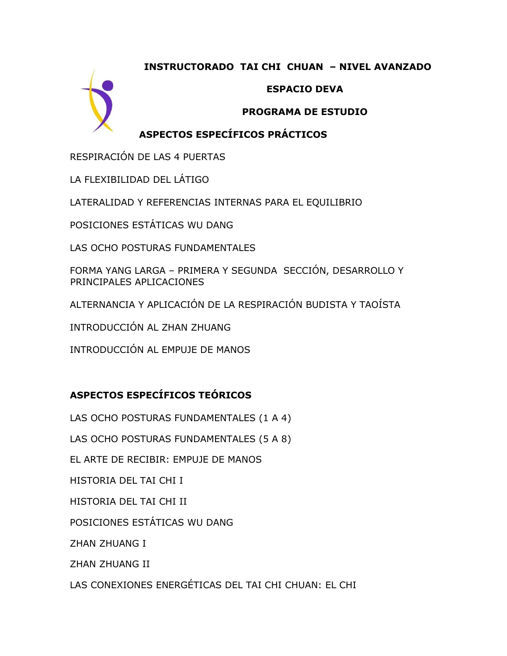### **INSTRUCTORADO TAI CHI CHUAN – NIVEL AVANZADO**



### **ESPACIO DEVA**

#### **PROGRAMA DE ESTUDIO**

# **ASPECTOS ESPECÍFICOS PRÁCTICOS**

RESPIRACIÓN DE LAS 4 PUERTAS

LA FLEXIBILIDAD DEL LÁTIGO

LATERALIDAD Y REFERENCIAS INTERNAS PARA EL EQUILIBRIO

POSICIONES ESTÁTICAS WU DANG

LAS OCHO POSTURAS FUNDAMENTALES

FORMA YANG LARGA – PRIMERA Y SEGUNDA SECCIÓN, DESARROLLO Y PRINCIPALES APLICACIONES

ALTERNANCIA Y APLICACIÓN DE LA RESPIRACIÓN BUDISTA Y TAOÍSTA

INTRODUCCIÓN AL ZHAN ZHUANG

INTRODUCCIÓN AL EMPUJE DE MANOS

# **ASPECTOS ESPECÍFICOS TEÓRICOS**

LAS OCHO POSTURAS FUNDAMENTALES (1 A 4)

LAS OCHO POSTURAS FUNDAMENTALES (5 A 8)

EL ARTE DE RECIBIR: EMPUJE DE MANOS

HISTORIA DEL TAI CHI I

HISTORIA DEL TAI CHI II

POSICIONES ESTÁTICAS WU DANG

ZHAN ZHUANG I

ZHAN ZHUANG II

LAS CONEXIONES ENERGÉTICAS DEL TAI CHI CHUAN: EL CHI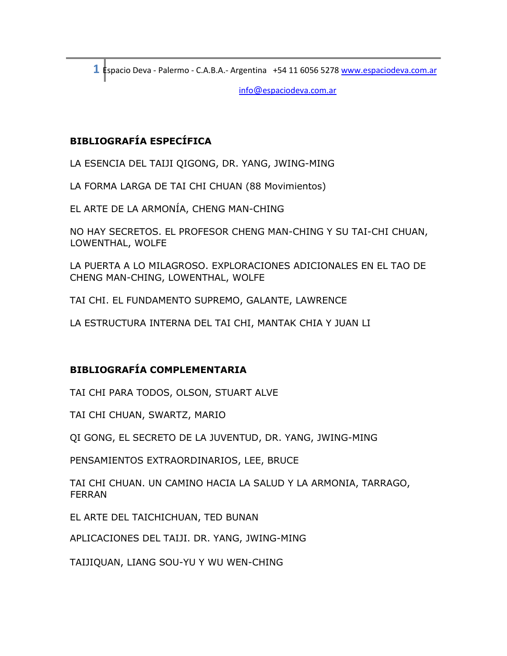**1** Espacio Deva - Palermo - C.A.B.A.- Argentina +54 11 6056 5278 [www.espaciodeva.com.ar](http://www.espaciodeva.com.ar/)

info@espaciodeva.com.ar

## **BIBLIOGRAFÍA ESPECÍFICA**

LA ESENCIA DEL TAIJI QIGONG, DR. YANG, JWING-MING

LA FORMA LARGA DE TAI CHI CHUAN (88 Movimientos)

EL ARTE DE LA ARMONÍA, CHENG MAN-CHING

NO HAY SECRETOS. EL PROFESOR CHENG MAN-CHING Y SU TAI-CHI CHUAN, LOWENTHAL, WOLFE

LA PUERTA A LO MILAGROSO. EXPLORACIONES ADICIONALES EN EL TAO DE CHENG MAN-CHING, LOWENTHAL, WOLFE

TAI CHI. EL FUNDAMENTO SUPREMO, GALANTE, LAWRENCE

LA ESTRUCTURA INTERNA DEL TAI CHI, MANTAK CHIA Y JUAN LI

### **BIBLIOGRAFÍA COMPLEMENTARIA**

TAI CHI PARA TODOS, OLSON, STUART ALVE

TAI CHI CHUAN, SWARTZ, MARIO

QI GONG, EL SECRETO DE LA JUVENTUD, DR. YANG, JWING-MING

PENSAMIENTOS EXTRAORDINARIOS, LEE, BRUCE

TAI CHI CHUAN. UN CAMINO HACIA LA SALUD Y LA ARMONIA, TARRAGO, FERRAN

EL ARTE DEL TAICHICHUAN, TED BUNAN

APLICACIONES DEL TAIJI. DR. YANG, JWING-MING

TAIJIQUAN, LIANG SOU-YU Y WU WEN-CHING